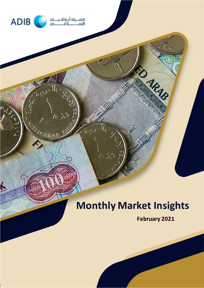

 $\Lambda$ 

**ALAIR ARAN** 

# **Monthly Market Insights**

**February 2021**

**SO ARIB**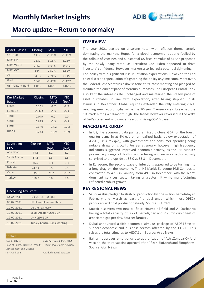

### **Macro update – Return to normalcy**

| <b>Asset Classes</b>     | Closing | MTD               | <b>YTD</b>        |
|--------------------------|---------|-------------------|-------------------|
| S&P 500                  | 3714    | $-1.11%$          | $-1.11%$          |
| <b>MSCI EM</b>           | 1330    | 3.15%             | 3.15%             |
| MSCI World               | 2662    | $-0.91%$          | $-0.91%$          |
| <b>MSCI GCC</b>          | 564     | 2.82%             | 2.82%             |
| Oil                      | 54.85   | 7.74%             | 7.74%             |
| Gold                     | 1848    | $-2.47%$          | $-2.47%$          |
| <b>US Treasury Yield</b> | 1.066   | 14 <sub>bps</sub> | 14 <sub>bps</sub> |

| Key Market<br>Rates | Closing  | <b>MTD</b><br>(bps) | <b>YTD</b><br>(bps) |
|---------------------|----------|---------------------|---------------------|
| <b>LIBOR</b>        | 0.202    | $-3.7$              | $-3.7$              |
| <b>EURIBOR</b>      | $-0.548$ | $-0.3$              | $-0.3$              |
| <b>TIBOR</b>        | 0.079    | 0.0                 | 0.0                 |
| <b>SIBOR</b>        | 0.815    | $-0.3$              | $-0.3$              |
| <b>EIBOR</b>        | 0.340    | $-17.2$             | $-17.2$             |
| <b>HIBOR</b>        | 0.243    | $-10.9$             | $-10.9$             |

| Sovereign<br><b>CDS</b> | Closing | <b>MTD</b><br>(bps) | <b>YTD</b><br>(bps) |
|-------------------------|---------|---------------------|---------------------|
| Abu Dhabi               | 44.5    | 6.1                 | 6.1                 |
| Saudi Arabia            | 67.6    | 1.8                 | 1.8                 |
| Kuwait                  | 45.7    | $-1.1$              | $-1.1$              |
| <b>Bahrain</b>          | 747.4   | 6.5                 | 6.5                 |
| Oman                    | 335.8   | $-25.7$             | $-25.7$             |
| Turkey                  | 310.3   | 5.6                 | 5.6                 |

| Upcoming Key Event |                                    |  |  |  |  |
|--------------------|------------------------------------|--|--|--|--|
| 03.02.2021         | <b>IHS Markit UAE PMI</b>          |  |  |  |  |
| 05.02.2021         | <b>US Unemployment Rate</b>        |  |  |  |  |
| 10.02.2021         | US CPI - January                   |  |  |  |  |
| 10.02.2021         | Saudi Arabia 4Q20 GDP              |  |  |  |  |
| 12.02.2021         | <b>UK 4020 GDP</b>                 |  |  |  |  |
| 18.02.2021         | <b>Turkey Central Bank Meeting</b> |  |  |  |  |

| lContacts                                                    |                          |
|--------------------------------------------------------------|--------------------------|
| Saif Al Alkeem                                               | Kais Dachraoui, PhD, FRM |
| Head of Priority Banking, Wealth Head of Investment Advisory |                          |
| Management and Liabilities                                   |                          |
| saif@adib.com                                                | kais.dachraoui@adib.com  |
|                                                              |                          |

### **OVERVIEW**

The year 2021 started on a strong note, with reflation theme largely dominating the markets. Hopes for a global economic rebound fuelled by the rollout of vaccines and substantial US fiscal stimulus of \$1.9tn proposed by the newly inaugurated US President Joe Biden appeared to drive investors' confidence. However, markets also feared a potential tightening in Fed policy with a significant rise in inflation expectations. However, the Fed chief discarded speculation of tightening the policy anytime soon. Moreover, the Federal Reserve struck a dovish tone at its latest meeting and pledged to maintain the current pace of treasury purchases. The European Central Bank also kept the interest rate unchanged and maintained the steady pace of asset purchases, in line with expectation, after having stepped up its stimulus in December. Global equities extended the rally entering 2021, reaching new record highs, while the 10-year Treasury yield breached the 1% mark hitting a 10-month high. The trends however reversed in the wake of Fed's statement and concerns around rising COVID cases.

#### **MACRO BACKDROP**

- In US, the economic data painted a mixed picture. GDP for the fourth quarter came in at 4% q/q on annualized basis, below expectation of 4.2% (3Q: 4.3% q/q), with government and consumer spending being notable drags on growth. For early January, however high frequency indicators suggested improved economic activity, as the IHS Markit's preliminary gauge of both manufacturing and services sector activity surprised to the upside at 58.0 vs 55.3 in December.
- In Eurozone, the second wave of infections appeared to be turning into a long drag on the economy. The IHS Markit Eurozone PMI Composite contracted to 47.5 in January from 49.1 in December, with the bloc's dominant services sector taking a greater hit while manufacturing reflected a robust growth.

#### **KEY REGIONAL NEWS**

- Saudi Arabia pledged to slash oil production by one million barrel/day in February and March as part of a deal under which most OPEC+ producers will hold production steady. Source: [Reuters](https://www.reuters.com/article/us-oil-opec-idUSKBN29A0UQ)
- Kuwait discovers two new oil field: Houma oil field and Al-Qashaniya having a total capacity of 3,271 barrels/day and 2.78mn cubic feet of associated gas per day. Source: [Reuters](https://www.reuters.com/article/kuwait-oil-discovery-int-idUSKBN2991MY)
- Dubai announced a fifth economic stimulus package of AED315mn to support economic and business sectors affected by the COVID. This raises the total stimulus to AED7.1bn. Source: [Arab News](https://www.arabnews.com/node/1788206/business-economy)
- Bahrain approves emergency use authorisation of AstraZeneca-Oxford vaccine, the third vaccine approval after Pfizer-BioNtech and Sinopharm. Source: [Gulf News](https://gulfnews.com/world/gulf/bahrain/covid-19-bahrain-approves-use-of-astrazeneca-oxford-vaccine-1.76744573)



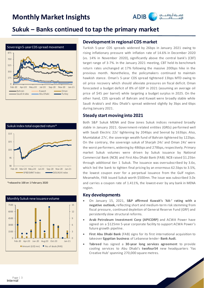

### **Sukuk – Banks continued to tap the primary market**





\*rebased to 100 on 1 February 2020



#### **Development in regional CDS market**

Turkish 5-year CDS spreads widened by 26bps in January 2021 owing to rising inflationary pressure with inflation rate of 14.6% in December 2020 (vs. 14% in November 2020), significantly above the central bank's (CBT) target range of 3-7%. In the January 2021 meeting, CBT held its benchmark return rates unchanged at 17% following the massive 200bps hike in the previous month. Nonetheless, the policymakers continued to maintain hawkish stance. Oman's 5-year CDS spread tightened 13bps MTD owing to oil price recovery which should alleviate pressures on fiscal deficit. Oman forecasted a budget deficit of 8% of GDP in 2021 (assuming an average oil price of \$45 per barrel) while targeting a budget surplus in 2025. On the other hand, CDS spreads of Bahrain and Kuwait were broadly stable while Saudi Arabia's and Abu Dhabi's spread widened slightly by 3bps and 6bps during January 2021.

#### **Steady start moving into 2021**

Both S&P Sukuk MENA and Dow Jones Sukuk indices remained broadly stable in January 2021. Government-related entities (GREs) performed well with Saudi Electric 22s' tightening by 204bps and Seenat by 163bps. Also, Mumtalakat 27s', the sovereign wealth fund of Bahrain tightened by 122bps. On the contrary, the sovereign sukuk of Sharjah 24s' and Oman 24s' were the worst performers, widening by 486bps and 278bps, respectively. Primary market Sukuk volumes were driven by Sukuk issuance by National Commercial Bank (NCB) and First Abu Dhabi Bank (FAB). NCB raised \$1.25bn through additional tier 1 Sukuk. The issuance was oversubscribed by 3.6x, which led the bank to tighten final pricing by an enormous 62.5bps to 3.5%, the lowest coupon ever for a perpetual issuance from the Gulf region. Meanwhile, FAB issued Sukuk worth \$500mn. The issue was subscribed 3.0x and carries a coupon rate of 1.411%, the lowest-ever by any bank in MENA region.

#### **Key developments**

- On January 15, 2021, **S&P affirmed Kuwait's 'AA-' rating with a negative outlook,** reflecting short and medium-term risk stemming from fiscal pressure, continued depletion of General Reserve Fund (GRF) and persistently slow structural reforms.
- **Arab Petroleum Investment Corp (APICORP)** and ACWA Power have signed on a \$125mn 5-year corporate facility to support ACWA Power's future growth pipeline.
- **First Abu Dhabi Bank** (FAB) signs for its first international acquisition to takeover **Egyptian business** of Lebanese lender- **Bank Audi.**
- **Tabreed** has signed a **30-year long services agreement** to provide cooling services to Abu Dhabi's **twofour54** new headquarters 'Yas Creative Hub' spanning 270,000 square metres.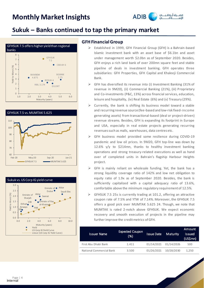

### **Sukuk – Banks continued to tap the primary market**







### **GFH Financial Group**

- ➢ Established in 1999, GFH Financial Group (GFH) is a Bahrain-based Islamic investment bank with an asset base of \$6.1bn and asset under management worth \$2.0bn as of September 2020. Besides, GFH enjoys a rich land bank of over 200mn square feet and stable pipeline of deals in investment banking. GFH operates three subsidiaries: GFH Properties, GFH Capital and Khaleeji Commercial Bank.
- ➢ GFH has diversified its revenue into (i) Investment Banking (31% of revenue in 9M20), (ii) Commercial Banking (21%), (iii) Proprietary and Co-investments (P&C, 13%) across financial services, education, leisure and hospitality, (iv) Real Estate (6%) and (v) Treasury (29%).
- ➢ Currently, the bank is shifting its business model toward a stable and recurring revenue source (fee-based and low-risk fixed-inc ome generating assets) from transactional-based (deal or project-driven) revenue streams. Besides, GFH is expanding its footprint in Europe and USA, especially in real estate projects generating recurring revenues such as malls, warehouses, data centres etc.
- ➢ GFH business model provided some resilience during COVID-19 pandemic and low oil prices. In 9M20, GFH top-line was down by 12.6% y/y to \$214mn, thanks to healthy investment banking operations and strong treasury-related executions as well as hand over of completed units in Bahrain's flagship Harbour Heights project.
- $\triangleright$  GFH is mainly reliant on wholesale funding. Yet, the bank has a strong liquidity coverage ratio of 142% and low net obligation to equity ratio of 1.9x as of September 2020. Besides, the bank is sufficiently capitalized with a capital adequacy ratio of 13.6%, comfortable above the minimum regulatory requirement of 12.5%.
- GFHSUK 7.5 25s is currently trading at 101.2, offering an attractive coupon rate of 7.5% and YTW of 7.14%. Moreover, the GFHSUK 7.5 offers a good pick over MUMTAK 5.625 24. Though, we note that MUMTAK is rated 2-notch above GFHSUK. We expect economic recovery and smooth execution of projects in the pipeline may further improve the credit metrics of GFH.

| <b>Issuer Name</b>       | <b>Expected Coupon</b><br>(% ) | <b>Issue Date</b> | Maturity              | Amount<br><b>Issued</b><br>(US\$mm) |  |
|--------------------------|--------------------------------|-------------------|-----------------------|-------------------------------------|--|
| First Abu Dhabi Bank     | 1.411                          |                   | 01/14/2021 01/14/2026 | 500                                 |  |
| National Commercial Bank | 3.500                          | 01/26/2021        | 10/28/2030            | 1.250                               |  |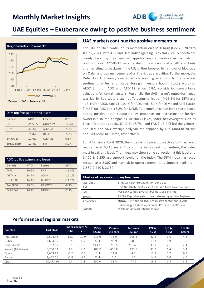

### **UAE Equities – Exuberance owing to positive business sentiment**



\*Rebased to 100 on December 31

| DFM top five gainers and losers |            |                |            |  |  |  |
|---------------------------------|------------|----------------|------------|--|--|--|
| <b>Gainers</b>                  | <b>MTD</b> | Losers         | <b>MTD</b> |  |  |  |
| <b>ERC</b>                      | 247.3%     | <b>GULFNAV</b> | $-10.6%$   |  |  |  |
| <b>DFM</b>                      | 31.2%      | <b>ASCANA</b>  | $-7.9%$    |  |  |  |
| DU                              | 14.8%      | <b>DXBE</b>    | $-7.9%$    |  |  |  |
| <b>EMIRATES</b>                 | 12.6%      | <b>ALRAMZ</b>  | $-6.8%$    |  |  |  |
| <b>BHMUBASH</b>                 | 12.4%      | <b>FIB</b>     | $-5.0%$    |  |  |  |

| ADX top five gainers and losers |            |               |            |  |  |  |  |
|---------------------------------|------------|---------------|------------|--|--|--|--|
| <b>Gainers</b>                  | <b>MTD</b> | Losers        | <b>MTD</b> |  |  |  |  |
| <b>TKFL</b>                     | 29.5%      | <b>FNF</b>    | $-16.4%$   |  |  |  |  |
| <b>AGTHIA</b>                   | 24.7%      | <b>ADNH</b>   | $-12.1%$   |  |  |  |  |
| <b>JULPHAR</b>                  | 24.1%      | <b>BILDCO</b> | $-11.2%$   |  |  |  |  |
| <b>RAKPROP</b>                  | 19.0%      | <b>RAKWCT</b> | $-8.1%$    |  |  |  |  |
| <b>EASYLEAS</b>                 | 18.2%      | <b>UNION</b>  | $-7.1%$    |  |  |  |  |

#### **UAE markets continue the positive momentum**

The UAE equities continued its momentum on a MTD basis (Dec 25, 2020 to Jan 25, 2021) with ADX and DFM indices gaining 9.6% and 7.7%, respectively, mainly driven by improving risk appetite among investors' in the midst of optimism over COVID-19 vaccine distribution gaining strength and likely another stimulus package in the US, further boosted by removal of blockade on Qatar and commencement of airline & trade activities. Furthermore, the Dubai EXPO is keenly awaited which would give a boost to the business sentiment. In terms of value, foreign investors bought stocks worth of AED743mn on ADX and AED412mn on DFM, considering comfortable valuations for certain sectors. Regionally, the UAE market's outperformance was led by key sectors such as Telecommunication (+15.5% for DFM and +13.1% for ADX), Banks (+10.4% for ADX and +8.4% for DFM) and Real Estate (+9.3% for ADX and +6.2% for DFM). Telecommunication index started on a strong positive note, supported by prospects on increasing the foreign ownership in the companies. At stocks level, index heavyweights such as Emaar Properties (+10.1%), DIB (+7.7%), and FAB (+13.0%) led the gainers. The DFM and ADX average daily volume dropped by 19% MoM to 207mn and 14% MoM to 101mn, respectively.

For ADX, since April 2020, the index is in upward trajectory but has faced resistance at 5,715 mark. To continue its upward momentum, the index must break this level. The index may show some correction at this level and 5,400 & 5,255 are support levels for the index. The DFM index has faced resistance at 2,807 and may halt its upward momentum. Support levels are – 2,580, 2,410 & 2,130.

| Most read regional company headlines |                                                          |  |  |  |  |
|--------------------------------------|----------------------------------------------------------|--|--|--|--|
| <b>EMIRATES</b>                      | Emirates NBD hires banks for bond deal                   |  |  |  |  |
| <b>FAB</b>                           | First Abu Dhabi Bank raises CNY1.5bn from Formosa Bond   |  |  |  |  |
| FAB                                  | FAB Bank to buy Egyptian business of Bank Audi           |  |  |  |  |
| SHUAA                                | SHUAA Capital invests in music streaming service Anghami |  |  |  |  |
| <b>ADNOCDIS</b>                      | ADNOC Distribution acquires 15 service stations in Saudi |  |  |  |  |
|                                      | Dubai's biggest developer Emaar Properties halts new     |  |  |  |  |
| <b>FMAAR</b>                         | construction work, chairman says                         |  |  |  |  |

#### **Performance of regional markets**

|                     |            | Index changes % |            | <b>MCap</b>   | Volume  | <b>Turnover</b> | P/E(x) | P/B(x) | Div Yld |
|---------------------|------------|-----------------|------------|---------------|---------|-----------------|--------|--------|---------|
| <b>Country</b>      | Last close | 1 <sub>M</sub>  | <b>YTD</b> | <b>US\$bn</b> | mn shrs | US\$ mn         | 12M    | 12M    | 12M%    |
| Abu Dhabi           | 5.593.48   | 10.9            | 10.9       | 215.0         | 71.9    | 105.3           | 22.2   | 1.6    | 4.3     |
| Dubai               | 2.654.06   | 6.5             | 6.5        | 77.4          | 95.9    | 38.9            | 13.3   | 0.9    | 3.6     |
| Saudi Arabia        | 8,702.55   | 0.1             | 0.1        | 2,412.3       | 215.5   | 2,594.6         | 33.9   | 2.1    | 2.4     |
| Kuwait (All shares) | 5.780.03   | 4.2             | 4.2        | 108.7         | 450.8   | 172.5           | 37.8   | 1.4    | 3.4     |
| Oman                | 3.653.22   | $-0.2$          | $-0.2$     | 11.4          | 11.8    | 4.0             | 13.2   | 0.7    | 6.9     |
| Bahrain             | 1.462.61   | $-1.8$          | $-1.8$     | 22.4          | 5.0     | 1.6             | 14.2   | 1.0    | 4.6     |
| Qatar               | 10.473.50  | 0.4             | 0.4        | 150.0         | 38.4    | 47.2            | 18.2   | 1.5    | 3.8     |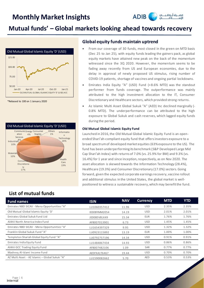

### **Mutual funds' – Global markets looking ahead towards recovery**



\*Rebased to 100 on 1 January 2020



#### **Global equity funds maintain uptrend**

- From our coverage of 30 funds, most closed in the green on MTD basis (Dec 25 to Jan 25), with equity funds leading the gainers pack, as global equity markets have attained new peak on the back of the momentum witnessed since the 3Q 2020. However, the momentum seems to be fading away recently from US and European economies, due to the delay in approval of newly proposed US stimulus, rising number of COVID-19 patients, shortage of vaccines and ongoing partial lockdowns.
- Emirates India Equity "A" (USD) Fund (+8.6% MTD) was the standout performer from funds coverage. The outperformance was mainly attributed to the high investment allocation to the IT, Consumer Discretionary and Healthcare sectors, which provided strong returns.
- Az Islamic Multi Asset Global Sukuk "A" (AED) Inc declined marginally (- 0.8% MTD). The underperformance can be attributed to the high exposure to Global Sukuk and cash reserves, which lagged equity funds during the period.

#### **Old Mutual Global Islamic Equity Fund**

Launched in 2016, the Old Mutual Global Islamic Equity Fund is an openended Shari'ah-compliant equity fund that offers investors exposure to a broad spectrum of developed market equities (63% exposure to the US). The fund has been underperforming its benchmark (S&P Developed Large Mid Cap Shari'ah Index) with returns of 7.0% (vs. 25.9% for BM) and 9.3% (vs. 16.4%) for 1 year and since inception, respectively, as on Nov 2020. The asset allocation is skewed towards the Information Technology (28.4%), Healthcare (19.3%) and Consumer Discretionary (17.0%) sectors.Going forward, given the expected corporate earnings recovery, vaccine rollout and additional stimulus in the United States, the global market is wellpositioned to witness a sustainable recovery, which may benefit the fund.

### **List of mutual funds**

| <b>Fund names</b>                              | <b>ISIN</b>  | <b>NAV</b> | <b>Currency</b> | <b>MTD</b> | <b>YTD</b> |
|------------------------------------------------|--------------|------------|-----------------|------------|------------|
| Emirates NBD SICAV - Mena Opportunities "A"    | LU1060357412 | 11.96      | <b>USD</b>      | 2.35%      | 2.35%      |
| Old Mutual Global Islamic Equity 'D'           | IE00BYMM2054 | 14.19      | <b>USD</b>      | 2.01%      | 2.01%      |
| Emirates Global Sukuk Fund Ltd                 | JE00B5V8LK49 | 15.34      | <b>EUR</b>      | 1.76%      | 1.76%      |
| Al Ahli North America Index Fund               | AFB007013901 | 6.73       | <b>USD</b>      | 1.45%      | 1.45%      |
| Emirates NBD SICAV - Mena Opportunities "A"    | LU1654397329 | 9.95       | <b>USD</b>      | 1.32%      | 1.32%      |
| Franklin Global Sukuk Fund "A"                 | LU0923115892 | 13.19      | <b>EUR</b>      | 1.00%      | 1.00%      |
| Templeton Shariah Global Equity Fund "A"       | LU0792757196 | 14.34      | <b>USD</b>      | 0.91%      | 0.91%      |
| Emirates India Equity Fund                     | LU1484867434 | 14.93      | USD.            | 0.86%      | 0.86%      |
| AlAhli GCC Trading Equity Fund                 | AFB007482106 | 1.09       | <b>SAR</b>      | 0.77%      | 0.77%      |
| Mashreg Al-Islami Income Fund                  | AEDFXA1T6467 | 19.44      | USD.            | 0.70%      | 0.70%      |
| AZ Multi Asset - AZ Islamic - Global Sukuk "A" | LU1590082662 | 5.70       | <b>AED</b>      | 0.53%      | 0.53%      |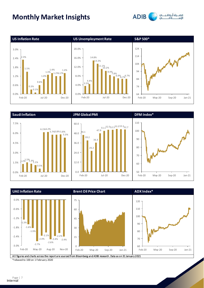







**ADIB** 



\*rebased to 100 on 1 February 2020